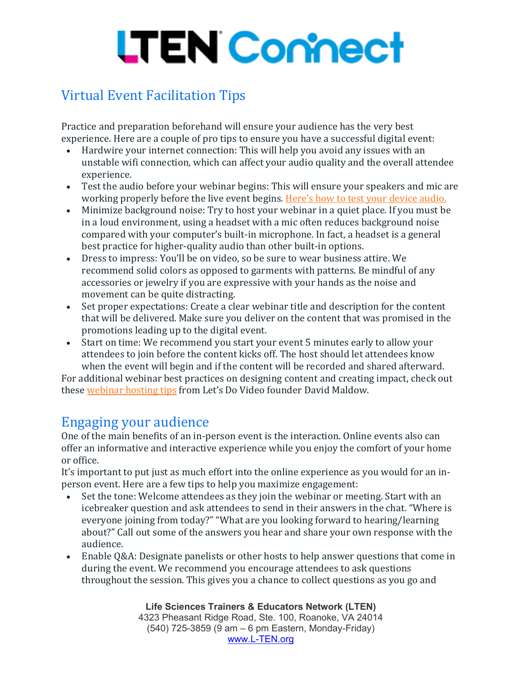## **LTEN Connect**

## Virtual Event Facilitation Tips

Practice and preparation beforehand will ensure your audience has the very best experience. Here are a couple of pro tips to ensure you have a successful digital event:

- Hardwire your internet connection: This will help you avoid any issues with an unstable wifi connection, which can affect your audio quality and the overall attendee experience.
- Test the audio before your webinar begins: This will ensure your speakers and mic are working properly before the live event begins. Here's how to test your [device](https://support.zoom.us/hc/en-us/articles/201362283-How-Do-I-Join-or-Test-My-Computer-Device-Audio-?zcid=1231) audio.
- Minimize background noise: Try to host your webinar in a quiet place. If you must be in a loud environment, using a headset with a mic often reduces background noise compared with your computer's built-in microphone. In fact, a headset is a general best practice for higher-quality audio than other built-in options.
- Dress to impress: You'll be on video, so be sure to wear business attire. We recommend solid colors as opposed to garments with patterns. Be mindful of any accessories or jewelry if you are expressive with your hands as the noise and movement can be quite distracting.
- Set proper expectations: Create a clear webinar title and description for the content that will be delivered. Make sure you deliver on the content that was promised in the promotions leading up to the digital event.
- Start on time: We recommend you start your event 5 minutes early to allow your attendees to join before the content kicks off. The host should let attendees know when the event will begin and if the content will be recorded and shared afterward.

For additional webinar best practices on designing content and creating impact, check out these [webinar](https://blog.zoom.us/wordpress/2020/01/29/lets-do-video-founder-share-tips-to-host-the-best-webinars/?zcid=1231) hosting tips from Let's Do Video founder David Maldow.

## Engaging your audience

One of the main benefits of an in-person event is the interaction. Online events also can offer an informative and interactive experience while you enjoy the comfort of your home or office.

It's important to put just as much effort into the online experience as you would for an inperson event. Here are a few tips to help you maximize engagement:

- Set the tone: Welcome attendees as they join the webinar or meeting. Start with an icebreaker question and ask attendees to send in their answers in the chat. "Where is everyone joining from today?" "What are you looking forward to hearing/learning about?" Call out some of the answers you hear and share your own response with the audience.
- Enable Q&A: Designate panelists or other hosts to help answer questions that come in during the event. We recommend you encourage attendees to ask questions throughout the session. This gives you a chance to collect questions as you go and

**Life Sciences Trainers & Educators Network (LTEN)** 4323 Pheasant Ridge Road, Ste. 100, Roanoke, VA 24014 (540) 725-3859 (9 am – 6 pm Eastern, Monday-Friday) [www.L-TEN.org](http://www.l-ten.org/)